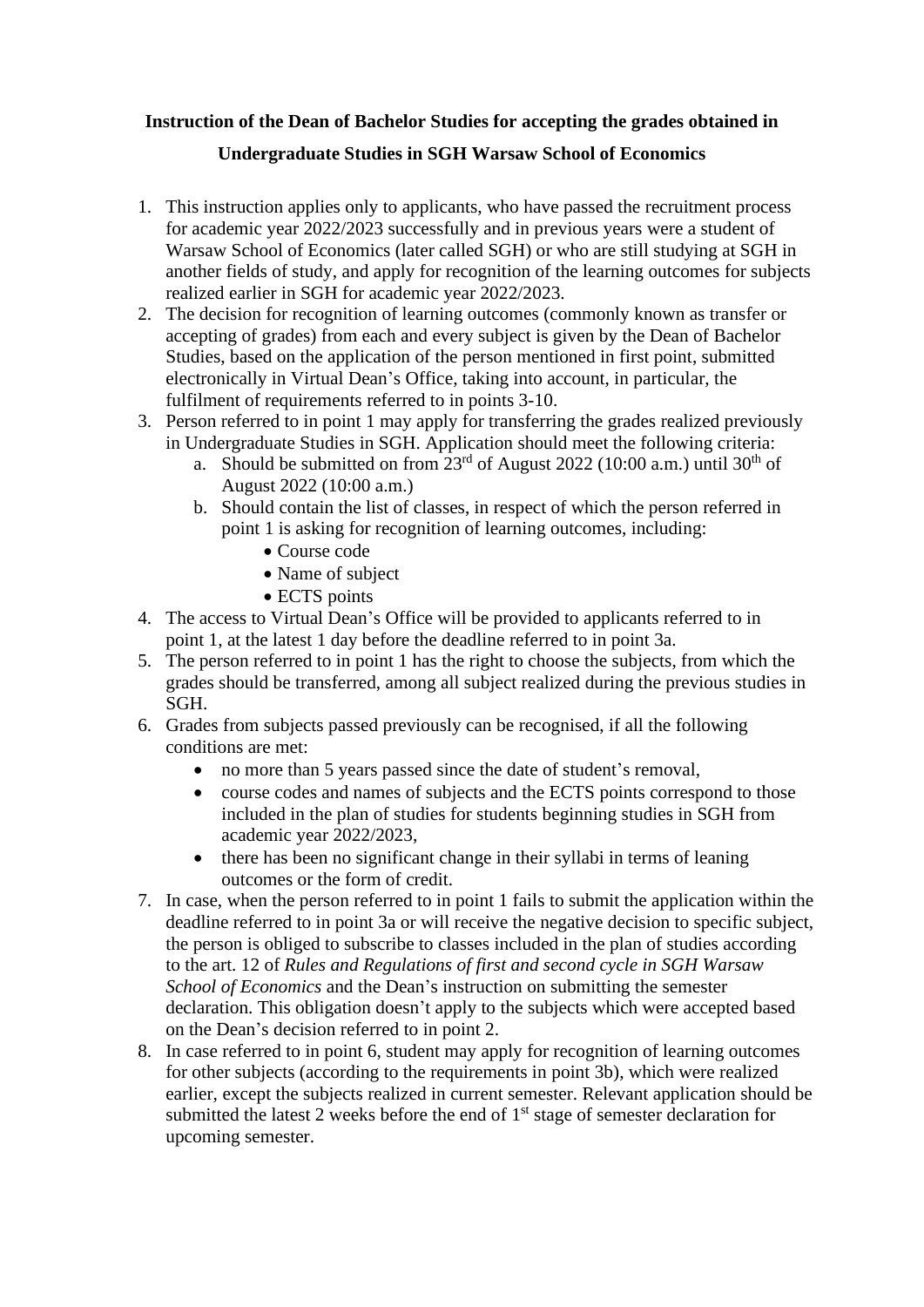## **Instruction of the Dean of Bachelor Studies for accepting the grades obtained in Undergraduate Studies in SGH Warsaw School of Economics**

- 1. This instruction applies only to applicants, who have passed the recruitment process for academic year 2022/2023 successfully and in previous years were a student of Warsaw School of Economics (later called SGH) or who are still studying at SGH in another fields of study, and apply for recognition of the learning outcomes for subjects realized earlier in SGH for academic year 2022/2023.
- 2. The decision for recognition of learning outcomes (commonly known as transfer or accepting of grades) from each and every subject is given by the Dean of Bachelor Studies, based on the application of the person mentioned in first point, submitted electronically in Virtual Dean's Office, taking into account, in particular, the fulfilment of requirements referred to in points 3-10.
- 3. Person referred to in point 1 may apply for transferring the grades realized previously in Undergraduate Studies in SGH. Application should meet the following criteria:
	- a. Should be submitted on from  $23<sup>rd</sup>$  of August 2022 (10:00 a.m.) until 30<sup>th</sup> of August 2022 (10:00 a.m.)
	- b. Should contain the list of classes, in respect of which the person referred in point 1 is asking for recognition of learning outcomes, including:
		- Course code
		- Name of subject
		- ECTS points
- 4. The access to Virtual Dean's Office will be provided to applicants referred to in point 1, at the latest 1 day before the deadline referred to in point 3a.
- 5. The person referred to in point 1 has the right to choose the subjects, from which the grades should be transferred, among all subject realized during the previous studies in SGH.
- 6. Grades from subjects passed previously can be recognised, if all the following conditions are met:
	- no more than 5 years passed since the date of student's removal,
	- course codes and names of subjects and the ECTS points correspond to those included in the plan of studies for students beginning studies in SGH from academic year 2022/2023,
	- there has been no significant change in their syllabi in terms of leaning outcomes or the form of credit.
- 7. In case, when the person referred to in point 1 fails to submit the application within the deadline referred to in point 3a or will receive the negative decision to specific subject, the person is obliged to subscribe to classes included in the plan of studies according to the art. 12 of *Rules and Regulations of first and second cycle in SGH Warsaw School of Economics* and the Dean's instruction on submitting the semester declaration. This obligation doesn't apply to the subjects which were accepted based on the Dean's decision referred to in point 2.
- 8. In case referred to in point 6, student may apply for recognition of learning outcomes for other subjects (according to the requirements in point 3b), which were realized earlier, except the subjects realized in current semester. Relevant application should be submitted the latest 2 weeks before the end of  $1<sup>st</sup>$  stage of semester declaration for upcoming semester.